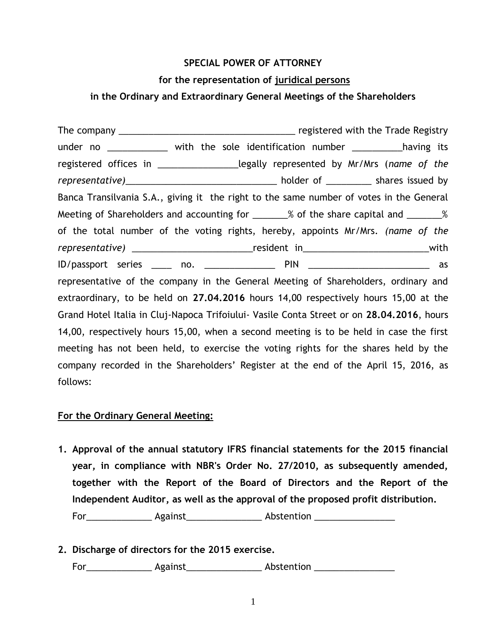## **SPECIAL POWER OF ATTORNEY**

## **for the representation of juridical persons**

## **in the Ordinary and Extraordinary General Meetings of the Shareholders**

The company \_\_\_\_\_\_\_\_\_\_\_\_\_\_\_\_\_\_\_\_\_\_\_\_\_\_\_\_\_\_\_\_\_\_\_ registered with the Trade Registry under no \_\_\_\_\_\_\_\_\_\_\_\_\_ with the sole identification number \_\_\_\_\_\_\_\_\_\_having its registered offices in \_\_\_\_\_\_\_\_\_\_\_\_\_\_\_\_legally represented by Mr/Mrs (*name of the representative)*\_\_\_\_\_\_\_\_\_\_\_\_\_\_\_\_\_\_\_\_\_\_\_\_\_\_\_\_\_\_ holder of \_\_\_\_\_\_\_\_\_ shares issued by Banca Transilvania S.A., giving it the right to the same number of votes in the General Meeting of Shareholders and accounting for \_\_\_\_\_\_\_% of the share capital and \_\_\_\_\_\_\_% of the total number of the voting rights, hereby, appoints Mr/Mrs. *(name of the representative)* \_\_\_\_\_\_\_\_\_\_\_\_\_\_\_\_\_\_\_\_\_\_\_\_resident in\_\_\_\_\_\_\_\_\_\_\_\_\_\_\_\_\_\_\_\_\_\_\_\_\_with ID/passport series \_\_\_\_ no. \_\_\_\_\_\_\_\_\_\_\_\_\_\_ PIN \_\_\_\_\_\_\_\_\_\_\_\_\_\_\_\_\_\_\_\_\_\_\_\_ as representative of the company in the General Meeting of Shareholders, ordinary and extraordinary, to be held on **27.04.2016** hours 14,00 respectively hours 15,00 at the Grand Hotel Italia in Cluj-Napoca Trifoiului- Vasile Conta Street or on **28.04.2016**, hours 14,00, respectively hours 15,00, when a second meeting is to be held in case the first meeting has not been held, to exercise the voting rights for the shares held by the company recorded in the Shareholders' Register at the end of the April 15, 2016, as follows:

## **For the Ordinary General Meeting:**

- **1. Approval of the annual statutory IFRS financial statements for the 2015 financial year, in compliance with NBR's Order No. 27/2010, as subsequently amended, together with the Report of the Board of Directors and the Report of the Independent Auditor, as well as the approval of the proposed profit distribution.** For\_\_\_\_\_\_\_\_\_\_\_\_\_\_\_\_\_\_ Against\_\_\_\_\_\_\_\_\_\_\_\_\_\_\_\_\_\_\_\_\_ Abstention \_\_\_\_\_\_\_\_\_\_\_\_\_\_\_\_\_\_
- **2. Discharge of directors for the 2015 exercise.**

For Regainst Against Abstention League Abstention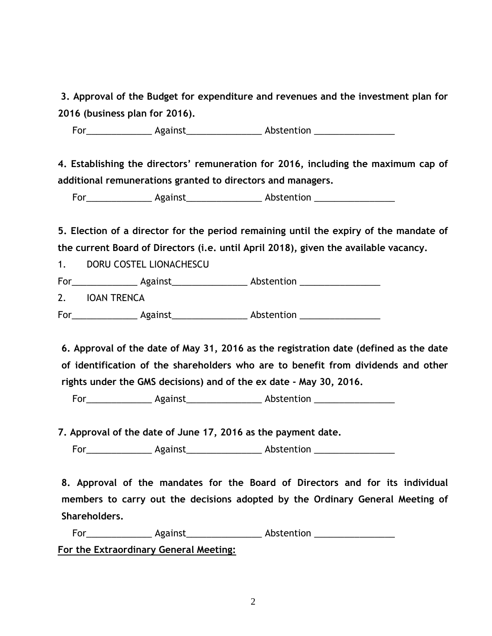**3. Approval of the Budget for expenditure and revenues and the investment plan for 2016 (business plan for 2016).**

For\_\_\_\_\_\_\_\_\_\_\_\_\_\_\_\_\_\_ Against\_\_\_\_\_\_\_\_\_\_\_\_\_\_\_\_\_\_\_\_\_ Abstention \_\_\_\_\_\_\_\_\_\_\_\_\_\_\_\_\_\_

 **4. Establishing the directors' remuneration for 2016, including the maximum cap of additional remunerations granted to directors and managers.**

For\_\_\_\_\_\_\_\_\_\_\_\_\_\_\_\_\_\_ Against\_\_\_\_\_\_\_\_\_\_\_\_\_\_\_\_\_\_\_\_\_\_ Abstention \_\_\_\_\_\_\_\_\_\_\_\_\_\_\_\_\_

**5. Election of a director for the period remaining until the expiry of the mandate of the current Board of Directors (i.e. until April 2018), given the available vacancy.**

1. DORU COSTEL LIONACHESCU

For\_\_\_\_\_\_\_\_\_\_\_\_\_ Against\_\_\_\_\_\_\_\_\_\_\_\_\_\_\_ Abstention \_\_\_\_\_\_\_\_\_\_\_\_\_\_\_\_ 2. IOAN TRENCA For Against Against Abstention

 **6. Approval of the date of May 31, 2016 as the registration date (defined as the date of identification of the shareholders who are to benefit from dividends and other rights under the GMS decisions) and of the ex date - May 30, 2016.**

For\_\_\_\_\_\_\_\_\_\_\_\_\_\_\_\_\_\_\_ Against\_\_\_\_\_\_\_\_\_\_\_\_\_\_\_\_\_\_\_\_\_\_ Abstention \_\_\_\_\_\_\_\_\_\_\_\_\_\_\_\_

**7. Approval of the date of June 17, 2016 as the payment date.**

For\_\_\_\_\_\_\_\_\_\_\_\_\_\_\_\_\_\_\_ Against\_\_\_\_\_\_\_\_\_\_\_\_\_\_\_\_\_\_\_\_\_ Abstention \_\_\_\_\_\_\_\_\_\_\_\_\_\_\_\_\_

 **8. Approval of the mandates for the Board of Directors and for its individual members to carry out the decisions adopted by the Ordinary General Meeting of Shareholders.**

For\_\_\_\_\_\_\_\_\_\_\_\_\_\_\_\_\_\_\_ Against\_\_\_\_\_\_\_\_\_\_\_\_\_\_\_\_\_\_\_\_\_\_\_ Abstention \_\_\_\_\_\_\_\_\_\_\_\_\_\_\_\_ **For the Extraordinary General Meeting:**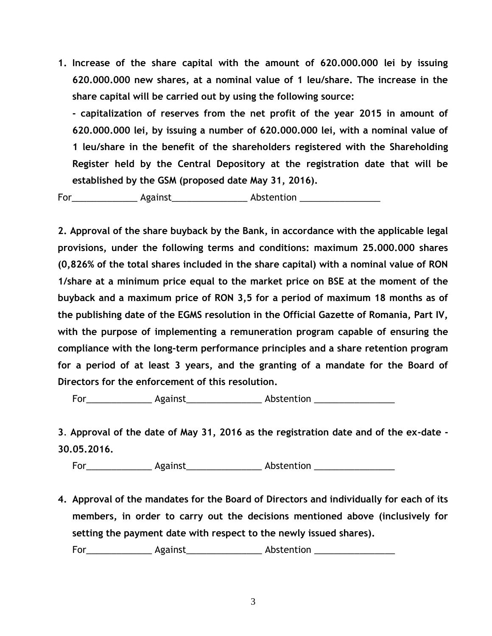**1. Increase of the share capital with the amount of 620.000.000 lei by issuing 620.000.000 new shares, at a nominal value of 1 leu/share. The increase in the share capital will be carried out by using the following source:**

**- capitalization of reserves from the net profit of the year 2015 in amount of 620.000.000 lei, by issuing a number of 620.000.000 lei, with a nominal value of 1 leu/share in the benefit of the shareholders registered with the Shareholding Register held by the Central Depository at the registration date that will be established by the GSM (proposed date May 31, 2016).**

For\_\_\_\_\_\_\_\_\_\_\_\_\_\_\_\_\_\_\_ Against\_\_\_\_\_\_\_\_\_\_\_\_\_\_\_\_\_\_\_\_\_\_\_ Abstention \_\_\_\_\_\_\_\_\_\_\_\_\_\_\_

**2. Approval of the share buyback by the Bank, in accordance with the applicable legal provisions, under the following terms and conditions: maximum 25.000.000 shares (0,826% of the total shares included in the share capital) with a nominal value of RON 1/share at a minimum price equal to the market price on BSE at the moment of the buyback and a maximum price of RON 3,5 for a period of maximum 18 months as of the publishing date of the EGMS resolution in the Official Gazette of Romania, Part IV, with the purpose of implementing a remuneration program capable of ensuring the compliance with the long-term performance principles and a share retention program for a period of at least 3 years, and the granting of a mandate for the Board of Directors for the enforcement of this resolution.**

For\_\_\_\_\_\_\_\_\_\_\_\_\_\_\_\_\_\_\_ Against\_\_\_\_\_\_\_\_\_\_\_\_\_\_\_\_\_\_\_\_\_\_ Abstention \_\_\_\_\_\_\_\_\_\_\_\_\_\_\_\_

**3**. **Approval of the date of May 31, 2016 as the registration date and of the ex-date - 30.05.2016.**

For\_\_\_\_\_\_\_\_\_\_\_\_\_\_\_\_\_\_\_ Against\_\_\_\_\_\_\_\_\_\_\_\_\_\_\_\_\_\_\_\_\_ Abstention \_\_\_\_\_\_\_\_\_\_\_\_\_\_\_\_\_

**4. Approval of the mandates for the Board of Directors and individually for each of its members, in order to carry out the decisions mentioned above (inclusively for setting the payment date with respect to the newly issued shares).**

For \_\_\_\_\_\_\_\_\_\_\_\_\_\_ Against \_\_\_\_\_\_\_\_\_\_\_\_\_\_\_ Abstention \_\_\_\_\_\_\_\_\_\_\_\_\_\_\_\_\_\_\_\_\_\_\_\_\_\_